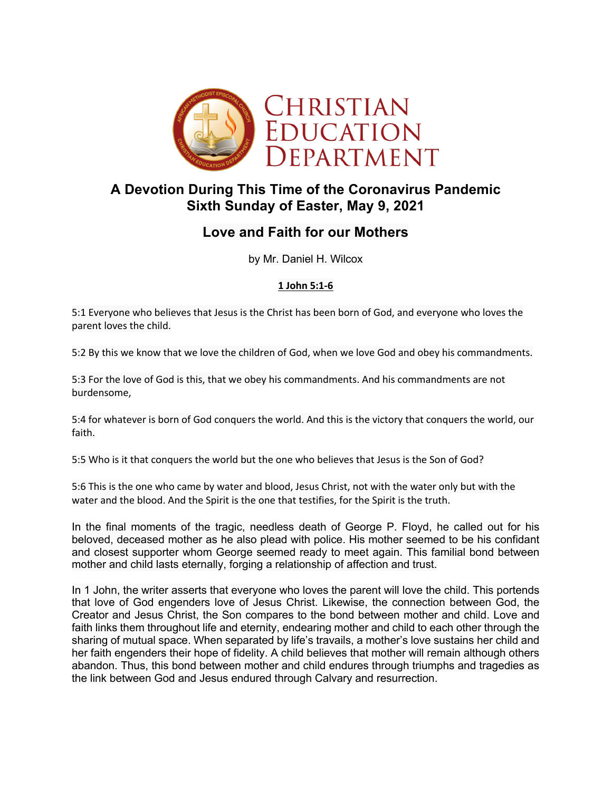

# **A Devotion During This Time of the Coronavirus Pandemic Sixth Sunday of Easter, May 9, 2021**

# **Love and Faith for our Mothers**

by Mr. Daniel H. Wilcox

## **1 John 5:1-6**

5:1 Everyone who believes that Jesus is the Christ has been born of God, and everyone who loves the parent loves the child.

5:2 By this we know that we love the children of God, when we love God and obey his commandments.

5:3 For the love of God is this, that we obey his commandments. And his commandments are not burdensome,

5:4 for whatever is born of God conquers the world. And this is the victory that conquers the world, our faith.

5:5 Who is it that conquers the world but the one who believes that Jesus is the Son of God?

5:6 This is the one who came by water and blood, Jesus Christ, not with the water only but with the water and the blood. And the Spirit is the one that testifies, for the Spirit is the truth.

In the final moments of the tragic, needless death of George P. Floyd, he called out for his beloved, deceased mother as he also plead with police. His mother seemed to be his confidant and closest supporter whom George seemed ready to meet again. This familial bond between mother and child lasts eternally, forging a relationship of affection and trust.

In 1 John, the writer asserts that everyone who loves the parent will love the child. This portends that love of God engenders love of Jesus Christ. Likewise, the connection between God, the Creator and Jesus Christ, the Son compares to the bond between mother and child. Love and faith links them throughout life and eternity, endearing mother and child to each other through the sharing of mutual space. When separated by life's travails, a mother's love sustains her child and her faith engenders their hope of fidelity. A child believes that mother will remain although others abandon. Thus, this bond between mother and child endures through triumphs and tragedies as the link between God and Jesus endured through Calvary and resurrection.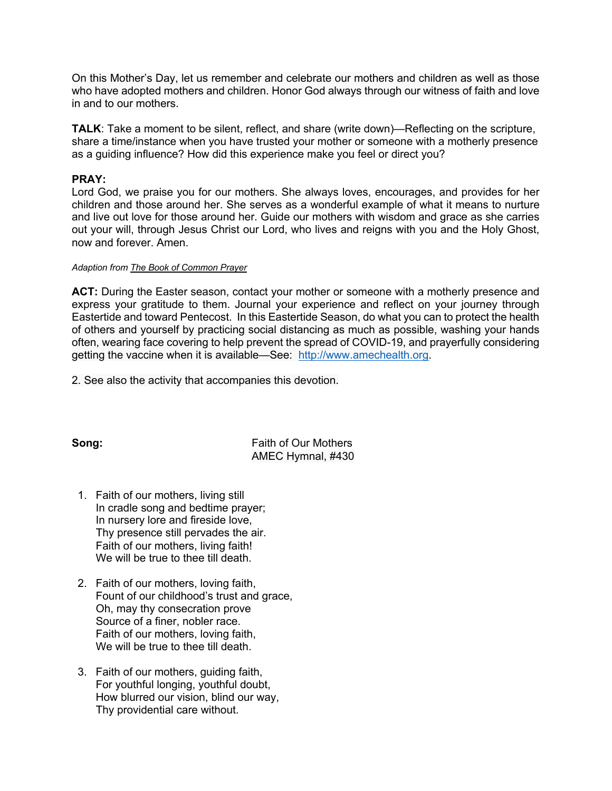On this Mother's Day, let us remember and celebrate our mothers and children as well as those who have adopted mothers and children. Honor God always through our witness of faith and love in and to our mothers.

**TALK**: Take a moment to be silent, reflect, and share (write down)—Reflecting on the scripture, share a time/instance when you have trusted your mother or someone with a motherly presence as a guiding influence? How did this experience make you feel or direct you?

### **PRAY:**

Lord God, we praise you for our mothers. She always loves, encourages, and provides for her children and those around her. She serves as a wonderful example of what it means to nurture and live out love for those around her. Guide our mothers with wisdom and grace as she carries out your will, through Jesus Christ our Lord, who lives and reigns with you and the Holy Ghost, now and forever. Amen.

#### *Adaption from The Book of Common Prayer*

**ACT:** During the Easter season, contact your mother or someone with a motherly presence and express your gratitude to them. Journal your experience and reflect on your journey through Eastertide and toward Pentecost. In this Eastertide Season, do what you can to protect the health of others and yourself by practicing social distancing as much as possible, washing your hands often, wearing face covering to help prevent the spread of COVID-19, and prayerfully considering getting the vaccine when it is available—See: http://www.amechealth.org.

2. See also the activity that accompanies this devotion.

**Song:** Faith of Our Mothers AMEC Hymnal, #430

- 1. Faith of our mothers, living still In cradle song and bedtime prayer; In nursery lore and fireside love, Thy presence still pervades the air. Faith of our mothers, living faith! We will be true to thee till death.
- 2. Faith of our mothers, loving faith, Fount of our childhood's trust and grace, Oh, may thy consecration prove Source of a finer, nobler race. Faith of our mothers, loving faith, We will be true to thee till death.
- 3. Faith of our mothers, guiding faith, For youthful longing, youthful doubt, How blurred our vision, blind our way, Thy providential care without.